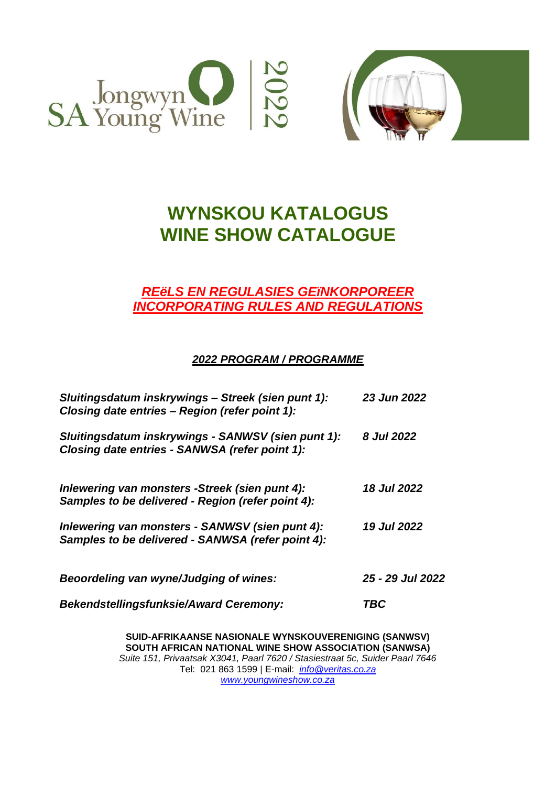



# **WYNSKOU KATALOGUS WINE SHOW CATALOGUE**

# *REëLS EN REGULASIES GEïNKORPOREER INCORPORATING RULES AND REGULATIONS*

# *2022 PROGRAM / PROGRAMME*

| Sluitingsdatum inskrywings - Streek (sien punt 1):<br>Closing date entries - Region (refer point 1): | 23 Jun 2022        |
|------------------------------------------------------------------------------------------------------|--------------------|
| Sluitingsdatum inskrywings - SANWSV (sien punt 1):<br>Closing date entries - SANWSA (refer point 1): | 8 Jul 2022         |
| Inlewering van monsters -Streek (sien punt 4):<br>Samples to be delivered - Region (refer point 4):  | <b>18 Jul 2022</b> |
| Inlewering van monsters - SANWSV (sien punt 4):<br>Samples to be delivered - SANWSA (refer point 4): | <b>19 Jul 2022</b> |
| Beoordeling van wyne/Judging of wines:                                                               | 25 - 29 Jul 2022   |
| <b>Bekendstellingsfunksie/Award Ceremony:</b>                                                        | <b>TBC</b>         |

**SUID-AFRIKAANSE NASIONALE WYNSKOUVERENIGING (SANWSV) SOUTH AFRICAN NATIONAL WINE SHOW ASSOCIATION (SANWSA)** *Suite 151, Privaatsak X3041, Paarl 7620 / Stasiestraat 5c, Suider Paarl 7646* Tel: 021 863 1599 | E-mail: *[info@veritas.co.za](mailto:info@veritas.co.za) [www.youngwineshow.co.za](http://www.youngwineshow.co.za/)*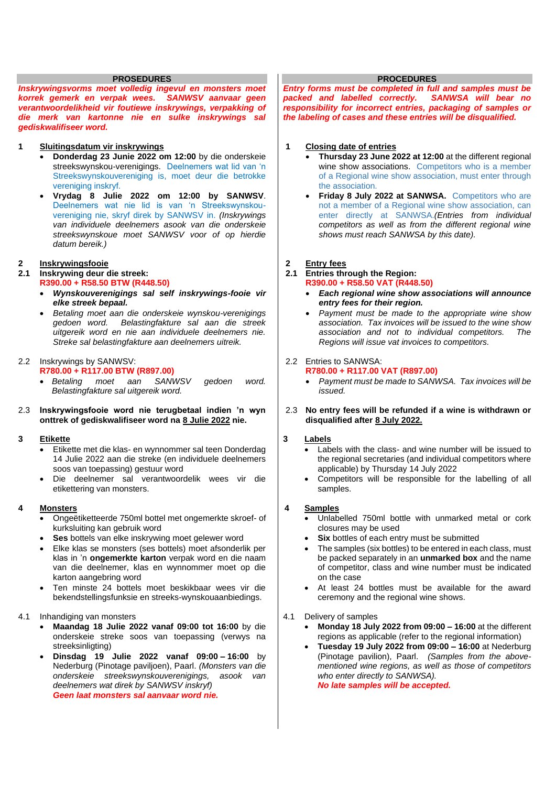#### **PROSEDURES**

*Inskrywingsvorms moet volledig ingevul en monsters moet korrek gemerk en verpak wees. SANWSV aanvaar geen verantwoordelikheid vir foutiewe inskrywings, verpakking of die merk van kartonne nie en sulke inskrywings sal gediskwalifiseer word.* 

#### **1 Sluitingsdatum vir inskrywings**

- **Donderdag 23 Junie 2022 om 12:00** by die onderskeie streekswynskou-verenigings. Deelnemers wat lid van 'n Streekswynskouvereniging is, moet deur die betrokke vereniging inskryf.
- **Vrydag 8 Julie 2022 om 12:00 by SANWSV**. Deelnemers wat nie lid is van 'n Streekswynskouvereniging nie, skryf direk by SANWSV in. *(Inskrywings van individuele deelnemers asook van die onderskeie streekswynskoue moet SANWSV voor of op hierdie datum bereik.)*

#### **2 Inskrywingsfooie**

# **2.1 Inskrywing deur die streek:**

- **R390.00 + R58.50 BTW (R448.50)**
	- *Wynskouverenigings sal self inskrywings-fooie vir elke streek bepaal.*
	- *Betaling moet aan die onderskeie wynskou-verenigings gedoen word. Belastingfakture sal aan die streek uitgereik word en nie aan individuele deelnemers nie. Streke sal belastingfakture aan deelnemers uitreik.*

#### 2.2 Inskrywings by SANWSV: **R780.00 + R117.00 BTW (R897.00)**

• *Betaling moet aan SANWSV gedoen word. Belastingfakture sal uitgereik word.*

### 2.3 **Inskrywingsfooie word nie terugbetaal indien 'n wyn onttrek of gediskwalifiseer word na 8 Julie 2022 nie.**

#### **3 Etikette**

- Etikette met die klas- en wynnommer sal teen Donderdag 14 Julie 2022 aan die streke (en individuele deelnemers soos van toepassing) gestuur word
- Die deelnemer sal verantwoordelik wees vir die etikettering van monsters.

#### **4 Monsters**

- Ongeëtiketteerde 750ml bottel met ongemerkte skroef- of kurksluiting kan gebruik word
- **Ses** bottels van elke inskrywing moet gelewer word
- Elke klas se monsters (ses bottels) moet afsonderlik per klas in 'n **ongemerkte karton** verpak word en die naam van die deelnemer, klas en wynnommer moet op die karton aangebring word
- Ten minste 24 bottels moet beskikbaar wees vir die bekendstellingsfunksie en streeks-wynskouaanbiedings.

#### 4.1 Inhandiging van monsters

- **Maandag 18 Julie 2022 vanaf 09:00 tot 16:00** by die onderskeie streke soos van toepassing (verwys na streeksinligting)
- **Dinsdag 19 Julie 2022 vanaf 09:00 – 16:00** by Nederburg (Pinotage paviljoen), Paarl. *(Monsters van die onderskeie streekswynskouverenigings, asook van deelnemers wat direk by SANWSV inskryf) Geen laat monsters sal aanvaar word nie.*

#### **PROCEDURES**

*Entry forms must be completed in full and samples must be packed and labelled correctly. responsibility for incorrect entries, packaging of samples or the labeling of cases and these entries will be disqualified.*

#### **1 Closing date of entries**

- **Thursday 23 June 2022 at 12:00** at the different regional wine show associations. Competitors who is a member of a Regional wine show association, must enter through the association.
- **Friday 8 July 2022 at SANWSA.** Competitors who are not a member of a Regional wine show association, can enter directly at SANWSA.*(Entries from individual competitors as well as from the different regional wine shows must reach SANWSA by this date).*

### **2 Entry fees**

#### **2.1 Entries through the Region: R390.00 + R58.50 VAT (R448.50)**

- *Each regional wine show associations will announce entry fees for their region.*
- *Payment must be made to the appropriate wine show association. Tax invoices will be issued to the wine show association and not to individual competitors. The Regions will issue vat invoices to competitors.*

# 2.2 Entries to SANWSA:

- **R780.00 + R117.00 VAT (R897.00)**
	- *Payment must be made to SANWSA. Tax invoices will be issued.*
- 2.3 **No entry fees will be refunded if a wine is withdrawn or disqualified after 8 July 2022.**

#### **3 Labels**

- Labels with the class- and wine number will be issued to the regional secretaries (and individual competitors where applicable) by Thursday 14 July 2022
- Competitors will be responsible for the labelling of all samples.

#### **4 Samples**

- Unlabelled 750ml bottle with unmarked metal or cork closures may be used
- **Six** bottles of each entry must be submitted
- The samples (six bottles) to be entered in each class, must be packed separately in an **unmarked box** and the name of competitor, class and wine number must be indicated on the case
- At least 24 bottles must be available for the award ceremony and the regional wine shows.

#### 4.1 Delivery of samples

- **Monday 18 July 2022 from 09:00 – 16:00** at the different regions as applicable (refer to the regional information)
- **Tuesday 19 July 2022 from 09:00 – 16:00** at Nederburg (Pinotage pavilion), Paarl. *(Samples from the abovementioned wine regions, as well as those of competitors who enter directly to SANWSA). No late samples will be accepted.*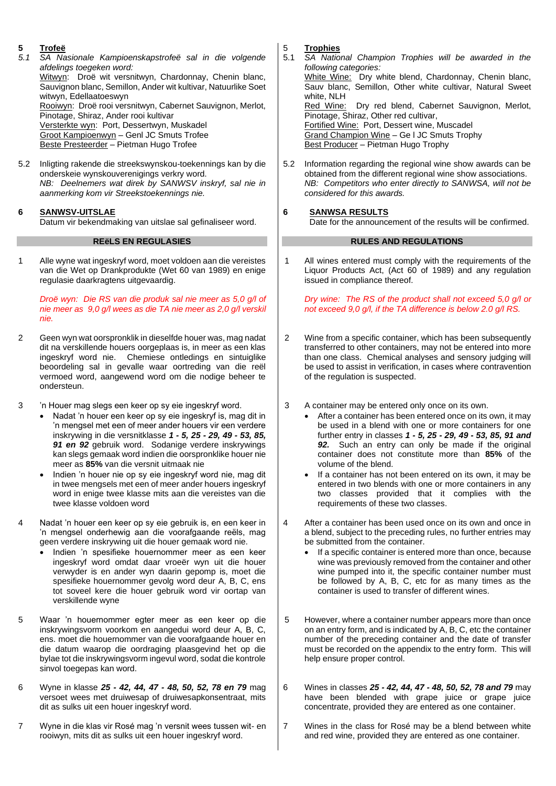# **5 Trofeë**

- *5.1 SA Nasionale Kampioenskapstrofeë sal in die volgende afdelings toegeken word:* Witwyn: Droë wit versnitwyn, Chardonnay, Chenin blanc, Sauvignon blanc, Semillon, Ander wit kultivar, Natuurlike Soet witwyn, Edellaatoeswyn Rooiwyn: Droë rooi versnitwyn, Cabernet Sauvignon, Merlot, Pinotage, Shiraz, Ander rooi kultivar Versterkte wyn: Port, Dessertwyn, Muskadel Groot Kampioenwyn – Genl JC Smuts Trofee Beste Presteerder – Pietman Hugo Trofee
- 5.2 Inligting rakende die streekswynskou-toekennings kan by die onderskeie wynskouverenigings verkry word. *NB: Deelnemers wat direk by SANWSV inskryf, sal nie in aanmerking kom vir Streekstoekennings nie.*

### **6 SANWSV-UITSLAE**

Datum vir bekendmaking van uitslae sal gefinaliseer word.

### **REëLS EN REGULASIES**

1 Alle wyne wat ingeskryf word, moet voldoen aan die vereistes van die Wet op Drankprodukte (Wet 60 van 1989) en enige regulasie daarkragtens uitgevaardig.

*Droë wyn: Die RS van die produk sal nie meer as 5,0 g/l of nie meer as 9,0 g/l wees as die TA nie meer as 2,0 g/l verskil nie.*

- 2 Geen wyn wat oorspronklik in dieselfde houer was, mag nadat dit na verskillende houers oorgeplaas is, in meer as een klas ingeskryf word nie. Chemiese ontledings en sintuiglike beoordeling sal in gevalle waar oortreding van die reël vermoed word, aangewend word om die nodige beheer te ondersteun.
- 3 'n Houer mag slegs een keer op sy eie ingeskryf word.
	- Nadat 'n houer een keer op sy eie ingeskryf is, mag dit in 'n mengsel met een of meer ander houers vir een verdere inskrywing in die versnitklasse *1 - 5, 25 - 29, 49 - 53, 85, 91 en 92* gebruik word. Sodanige verdere inskrywings kan slegs gemaak word indien die oorspronklike houer nie meer as **85%** van die versnit uitmaak nie
	- Indien 'n houer nie op sy eie ingeskryf word nie, mag dit in twee mengsels met een of meer ander houers ingeskryf word in enige twee klasse mits aan die vereistes van die twee klasse voldoen word
- Nadat 'n houer een keer op sy eie gebruik is, en een keer in 'n mengsel onderhewig aan die voorafgaande reëls, mag geen verdere inskrywing uit die houer gemaak word nie.
	- Indien 'n spesifieke houernommer meer as een keer ingeskryf word omdat daar vroeër wyn uit die houer verwyder is en ander wyn daarin gepomp is, moet die spesifieke houernommer gevolg word deur A, B, C, ens tot soveel kere die houer gebruik word vir oortap van verskillende wyne
- 5 Waar 'n houernommer egter meer as een keer op die inskrywingsvorm voorkom en aangedui word deur A, B, C, ens. moet die houernommer van die voorafgaande houer en die datum waarop die oordraging plaasgevind het op die bylae tot die inskrywingsvorm ingevul word, sodat die kontrole sinvol toegepas kan word.
- 6 Wyne in klasse *25 - 42, 44, 47 - 48, 50, 52, 78 en 79* mag versoet wees met druiwesap of druiwesapkonsentraat, mits dit as sulks uit een houer ingeskryf word.
- 7 Wyne in die klas vir Rosé mag 'n versnit wees tussen wit- en rooiwyn, mits dit as sulks uit een houer ingeskryf word.

5 **Trophies**

- 5.1 *SA National Champion Trophies will be awarded in the following categories:* White Wine: Dry white blend, Chardonnay, Chenin blanc, Sauv blanc, Semillon, Other white cultivar, Natural Sweet white, NLH<br>Red\_Wine: Dry red blend, Cabernet Sauvignon, Merlot, Pinotage, Shiraz, Other red cultivar, Fortified Wine: Port, Dessert wine, Muscadel Grand Champion Wine – Ge l JC Smuts Trophy Best Producer - Pietman Hugo Trophy
- 5.2 Information regarding the regional wine show awards can be obtained from the different regional wine show associations. *NB: Competitors who enter directly to SANWSA, will not be considered for this awards.*

# **6 SANWSA RESULTS**

Date for the announcement of the results will be confirmed.

## **RULES AND REGULATIONS**

1 All wines entered must comply with the requirements of the Liquor Products Act, (Act 60 of 1989) and any regulation issued in compliance thereof.

*Dry wine: The RS of the product shall not exceed 5,0 g/l or not exceed 9,0 g/l, if the TA difference is below 2.0 g/l RS.*

- 2 Wine from a specific container, which has been subsequently transferred to other containers, may not be entered into more than one class. Chemical analyses and sensory judging will be used to assist in verification, in cases where contravention of the regulation is suspected.
- 3 A container may be entered only once on its own.
	- After a container has been entered once on its own, it may be used in a blend with one or more containers for one further entry in classes *1 - 5, 25 - 29, 49 - 53, 85, 91 and 92.* Such an entry can only be made if the original container does not constitute more than **85%** of the volume of the blend.
	- If a container has not been entered on its own, it may be entered in two blends with one or more containers in any two classes provided that it complies with the requirements of these two classes.
- 4 After a container has been used once on its own and once in a blend, subject to the preceding rules, no further entries may be submitted from the container.
	- If a specific container is entered more than once, because wine was previously removed from the container and other wine pumped into it, the specific container number must be followed by A, B, C, etc for as many times as the container is used to transfer of different wines.
- 5 However, where a container number appears more than once on an entry form, and is indicated by A, B, C, etc the container number of the preceding container and the date of transfer must be recorded on the appendix to the entry form. This will help ensure proper control.
- 6 Wines in classes *25 - 42, 44, 47 - 48, 50, 52, 78 and 79* may have been blended with grape juice or grape juice concentrate, provided they are entered as one container.
- 7 Wines in the class for Rosé may be a blend between white and red wine, provided they are entered as one container.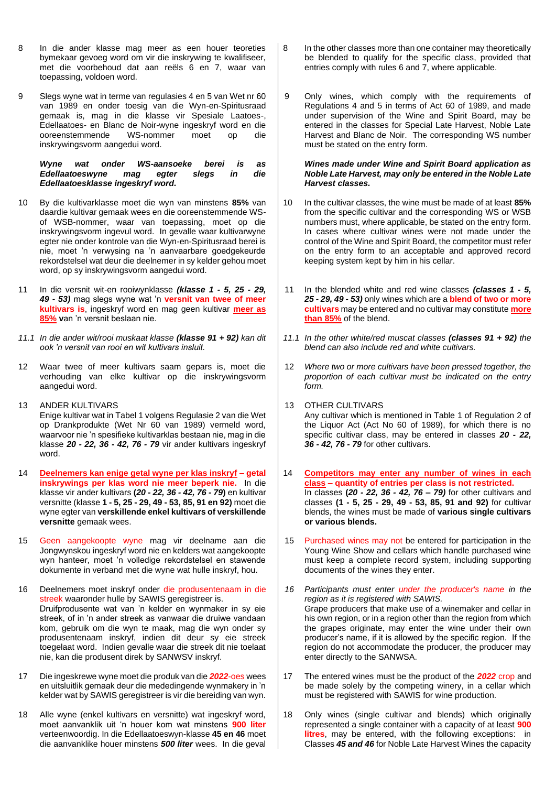- 8 In die ander klasse mag meer as een houer teoreties bymekaar gevoeg word om vir die inskrywing te kwalifiseer, met die voorbehoud dat aan reëls 6 en 7, waar van toepassing, voldoen word.
- 9 Slegs wyne wat in terme van regulasies 4 en 5 van Wet nr 60 van 1989 en onder toesig van die Wyn-en-Spiritusraad gemaak is, mag in die klasse vir Spesiale Laatoes-, Edellaatoes- en Blanc de Noir-wyne ingeskryf word en die ooreenstemmende WS-nommer moet op die inskrywingsvorm aangedui word.

#### *Wyne wat onder WS-aansoeke berei is as Edellaatoeswyne mag egter slegs in Edellaatoesklasse ingeskryf word.*

- 10 By die kultivarklasse moet die wyn van minstens **85%** van daardie kultivar gemaak wees en die ooreenstemmende WSof WSB-nommer, waar van toepassing, moet op die inskrywingsvorm ingevul word. In gevalle waar kultivarwyne egter nie onder kontrole van die Wyn-en-Spiritusraad berei is nie, moet 'n verwysing na 'n aanvaarbare goedgekeurde rekordstelsel wat deur die deelnemer in sy kelder gehou moet word, op sy inskrywingsvorm aangedui word.
- 11 In die versnit wit-en rooiwynklasse *(klasse 1 - 5, 25 - 29, 49 - 53)* mag slegs wyne wat 'n **versnit van twee of meer kultivars is**, ingeskryf word en mag geen kultivar **meer as 85% v**an 'n versnit beslaan nie.
- *11.1 In die ander wit/rooi muskaat klasse (klasse 91 + 92) kan dit ook 'n versnit van rooi en wit kultivars insluit.*
- 12 Waar twee of meer kultivars saam gepars is, moet die verhouding van elke kultivar op die inskrywingsvorm aangedui word.
- 13 ANDER KULTIVARS Enige kultivar wat in Tabel 1 volgens Regulasie 2 van die Wet op Drankprodukte (Wet Nr 60 van 1989) vermeld word, waarvoor nie 'n spesifieke kultivarklas bestaan nie, mag in die klasse *20 - 22, 36 - 42, 76 - 79* vir ander kultivars ingeskryf word.
- 14 **Deelnemers kan enige getal wyne per klas inskryf – getal inskrywings per klas word nie meer beperk nie.** In die klasse vir ander kultivars **(***20 - 22, 36 - 42, 76 - 79***)** en kultivar versnitte (klasse **1 - 5, 25 - 29, 49 - 53, 85, 91 en 92)** moet die wyne egter van **verskillende enkel kultivars of verskillende versnitte** gemaak wees.
- 15 Geen aangekoopte wyne mag vir deelname aan die Jongwynskou ingeskryf word nie en kelders wat aangekoopte wyn hanteer, moet 'n volledige rekordstelsel en stawende dokumente in verband met die wyne wat hulle inskryf, hou.
- 16 Deelnemers moet inskryf onder die produsentenaam in die streek waaronder hulle by SAWIS geregistreer is. Druifprodusente wat van 'n kelder en wynmaker in sy eie streek, of in 'n ander streek as vanwaar die druiwe vandaan kom, gebruik om die wyn te maak, mag die wyn onder sy produsentenaam inskryf, indien dit deur sy eie streek toegelaat word. Indien gevalle waar die streek dit nie toelaat nie, kan die produsent direk by SANWSV inskryf.
- 17 Die ingeskrewe wyne moet die produk van die *2022*-oes wees en uitsluitlik gemaak deur die mededingende wynmakery in 'n kelder wat by SAWIS geregistreer is vir die bereiding van wyn.
- 18 Alle wyne (enkel kultivars en versnitte) wat ingeskryf word, moet aanvanklik uit 'n houer kom wat minstens **900 liter** verteenwoordig. In die Edellaatoeswyn-klasse **45 en 46** moet die aanvanklike houer minstens *500 liter* wees. In die geval
- 8 In the other classes more than one container may theoretically be blended to qualify for the specific class, provided that entries comply with rules 6 and 7, where applicable.
- 9 Only wines, which comply with the requirements of Regulations 4 and 5 in terms of Act 60 of 1989, and made under supervision of the Wine and Spirit Board, may be entered in the classes for Special Late Harvest, Noble Late Harvest and Blanc de Noir. The corresponding WS number must be stated on the entry form.

#### *Wines made under Wine and Spirit Board application as Noble Late Harvest, may only be entered in the Noble Late Harvest classes.*

- 10 In the cultivar classes, the wine must be made of at least **85%** from the specific cultivar and the corresponding WS or WSB numbers must, where applicable, be stated on the entry form. In cases where cultivar wines were not made under the control of the Wine and Spirit Board, the competitor must refer on the entry form to an acceptable and approved record keeping system kept by him in his cellar.
- 11 In the blended white and red wine classes *(classes 1 - 5, 25 - 29, 49 - 53)* only wines which are a **blend of two or more cultivars** may be entered and no cultivar may constitute **more than 85%** of the blend.
- *11.1 In the other white/red muscat classes (classes 91 + 92) the blend can also include red and white cultivars.*
- 12 *Where two or more cultivars have been pressed together, the proportion of each cultivar must be indicated on the entry form.*
- 13 OTHER CULTIVARS Any cultivar which is mentioned in Table 1 of Regulation 2 of the Liquor Act (Act No 60 of 1989), for which there is no specific cultivar class, may be entered in classes *20 - 22, 36 - 42, 76 - 79* for other cultivars.
- 14 **Competitors may enter any number of wines in each class – quantity of entries per class is not restricted.** In classes **(***20 - 22, 36 - 42, 76 – 79)* for other cultivars and classes **(1 - 5, 25 - 29, 49 - 53, 85, 91 and 92)** for cultivar blends, the wines must be made of **various single cultivars or various blends.**
- 15 Purchased wines may not be entered for participation in the Young Wine Show and cellars which handle purchased wine must keep a complete record system, including supporting documents of the wines they enter.
- *16 Participants must enter under the producer's name in the region as it is registered with SAWIS.* Grape producers that make use of a winemaker and cellar in his own region, or in a region other than the region from which the grapes originate, may enter the wine under their own producer's name, if it is allowed by the specific region. If the region do not accommodate the producer, the producer may enter directly to the SANWSA.
- 17 The entered wines must be the product of the *2022* crop and be made solely by the competing winery, in a cellar which must be registered with SAWIS for wine production.
- 18 Only wines (single cultivar and blends) which originally represented a single container with a capacity of at least **900 litres**, may be entered, with the following exceptions: in Classes *45 and 46* for Noble Late Harvest Wines the capacity